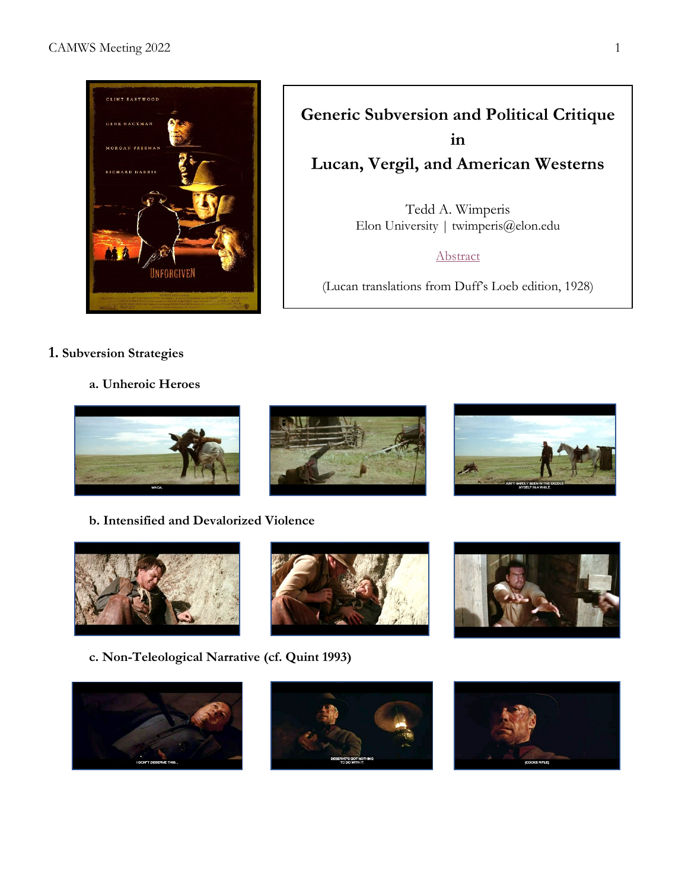

**Generic Subversion and Political Critique in Lucan, Vergil, and American Westerns** Tedd A. Wimperis Elon University | twimperis@elon.edu

[Abstract](https://camws.org/sites/default/files/meeting2022/2622WesternsLucanVergil.pdf)

(Lucan translations from Duff's Loeb edition, 1928)

- **1. Subversion Strategies**
	- **a. Unheroic Heroes**



**b. Intensified and Devalorized Violence**



**c. Non-Teleological Narrative (cf. Quint 1993)**









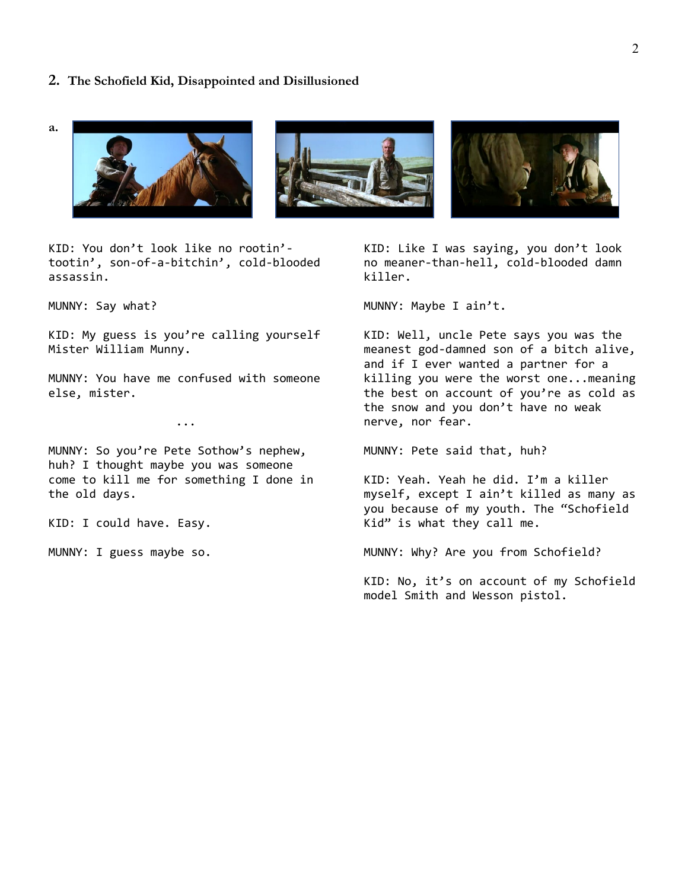#### **2. The Schofield Kid, Disappointed and Disillusioned**

**a.** 



KID: You don't look like no rootin' tootin', son-of-a-bitchin', cold-blooded assassin.

MUNNY: Say what?

KID: My guess is you're calling yourself Mister William Munny.

MUNNY: You have me confused with someone else, mister.

...

MUNNY: So you're Pete Sothow's nephew, huh? I thought maybe you was someone come to kill me for something I done in the old days.

KID: I could have. Easy.

MUNNY: I guess maybe so.

KID: Like I was saying, you don't look no meaner-than-hell, cold-blooded damn killer.

MUNNY: Maybe I ain't.

KID: Well, uncle Pete says you was the meanest god-damned son of a bitch alive, and if I ever wanted a partner for a killing you were the worst one...meaning the best on account of you're as cold as the snow and you don't have no weak nerve, nor fear.

MUNNY: Pete said that, huh?

KID: Yeah. Yeah he did. I'm a killer myself, except I ain't killed as many as you because of my youth. The "Schofield Kid" is what they call me.

MUNNY: Why? Are you from Schofield?

KID: No, it's on account of my Schofield model Smith and Wesson pistol.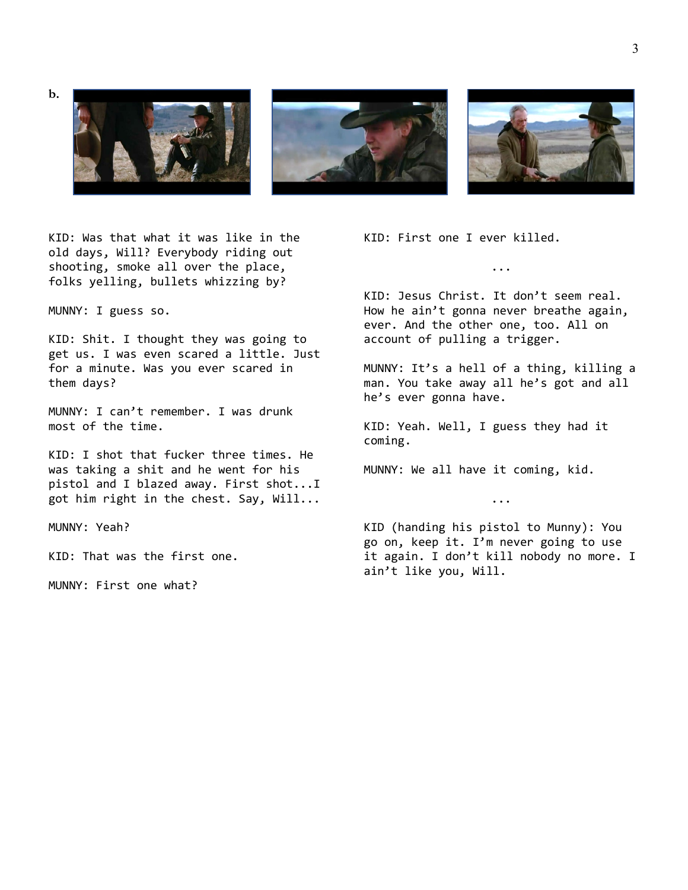

KID: Was that what it was like in the old days, Will? Everybody riding out shooting, smoke all over the place, folks yelling, bullets whizzing by?

MUNNY: I guess so.

KID: Shit. I thought they was going to get us. I was even scared a little. Just for a minute. Was you ever scared in them days?

MUNNY: I can't remember. I was drunk most of the time.

KID: I shot that fucker three times. He was taking a shit and he went for his pistol and I blazed away. First shot...I got him right in the chest. Say, Will...

MUNNY: Yeah?

KID: That was the first one.

MUNNY: First one what?

KID: First one I ever killed.

KID: Jesus Christ. It don't seem real. How he ain't gonna never breathe again, ever. And the other one, too. All on account of pulling a trigger.

...

MUNNY: It's a hell of a thing, killing a man. You take away all he's got and all he's ever gonna have.

KID: Yeah. Well, I guess they had it coming.

MUNNY: We all have it coming, kid.

KID (handing his pistol to Munny): You go on, keep it. I'm never going to use it again. I don't kill nobody no more. I ain't like you, Will.

...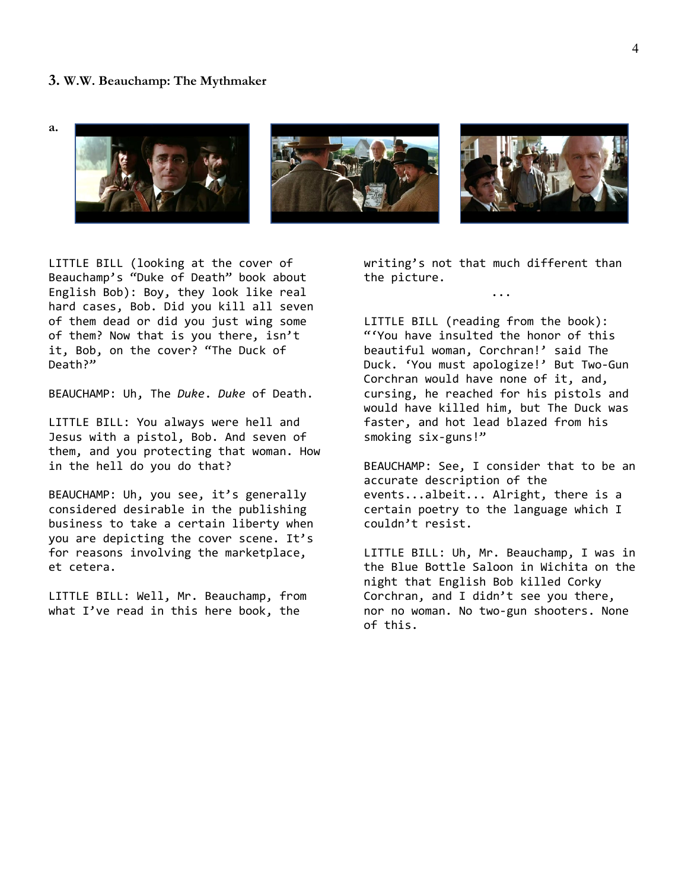### **3. W.W. Beauchamp: The Mythmaker**

**a.**



LITTLE BILL (looking at the cover of Beauchamp's "Duke of Death" book about English Bob): Boy, they look like real hard cases, Bob. Did you kill all seven of them dead or did you just wing some of them? Now that is you there, isn't it, Bob, on the cover? "The Duck of Death?"

BEAUCHAMP: Uh, The *Duke*. *Duke* of Death.

LITTLE BILL: You always were hell and Jesus with a pistol, Bob. And seven of them, and you protecting that woman. How in the hell do you do that?

BEAUCHAMP: Uh, you see, it's generally considered desirable in the publishing business to take a certain liberty when you are depicting the cover scene. It's for reasons involving the marketplace, et cetera.

LITTLE BILL: Well, Mr. Beauchamp, from what I've read in this here book, the

writing's not that much different than the picture.

...

LITTLE BILL (reading from the book): "'You have insulted the honor of this beautiful woman, Corchran!' said The Duck. 'You must apologize!' But Two-Gun Corchran would have none of it, and, cursing, he reached for his pistols and would have killed him, but The Duck was faster, and hot lead blazed from his smoking six-guns!"

BEAUCHAMP: See, I consider that to be an accurate description of the events...albeit... Alright, there is a certain poetry to the language which I couldn't resist.

LITTLE BILL: Uh, Mr. Beauchamp, I was in the Blue Bottle Saloon in Wichita on the night that English Bob killed Corky Corchran, and I didn't see you there, nor no woman. No two-gun shooters. None of this.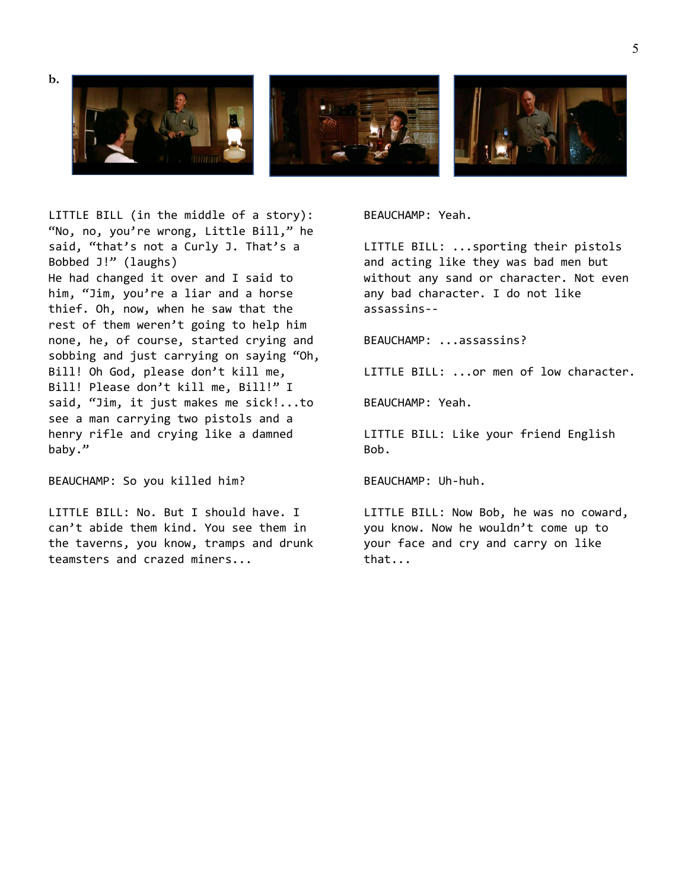



LITTLE BILL (in the middle of a story): "No, no, you're wrong, Little Bill," he said, "that's not a Curly J. That's a Bobbed J!" (laughs) He had changed it over and I said to him, "Jim, you're a liar and a horse thief. Oh, now, when he saw that the rest of them weren't going to help him none, he, of course, started crying and sobbing and just carrying on saying "Oh, Bill! Oh God, please don't kill me, Bill! Please don't kill me, Bill!" I said, "Jim, it just makes me sick!...to see a man carrying two pistols and a henry rifle and crying like a damned baby."

BEAUCHAMP: So you killed him?

LITTLE BILL: No. But I should have. I can't abide them kind. You see them in the taverns, you know, tramps and drunk teamsters and crazed miners...

BEAUCHAMP: Yeah.

LITTLE BILL: ...sporting their pistols and acting like they was bad men but without any sand or character. Not even any bad character. I do not like assassins--

BEAUCHAMP: ...assassins?

LITTLE BILL: ...or men of low character.

BEAUCHAMP: Yeah.

LITTLE BILL: Like your friend English Bob.

BEAUCHAMP: Uh-huh.

LITTLE BILL: Now Bob, he was no coward, you know. Now he wouldn't come up to your face and cry and carry on like that...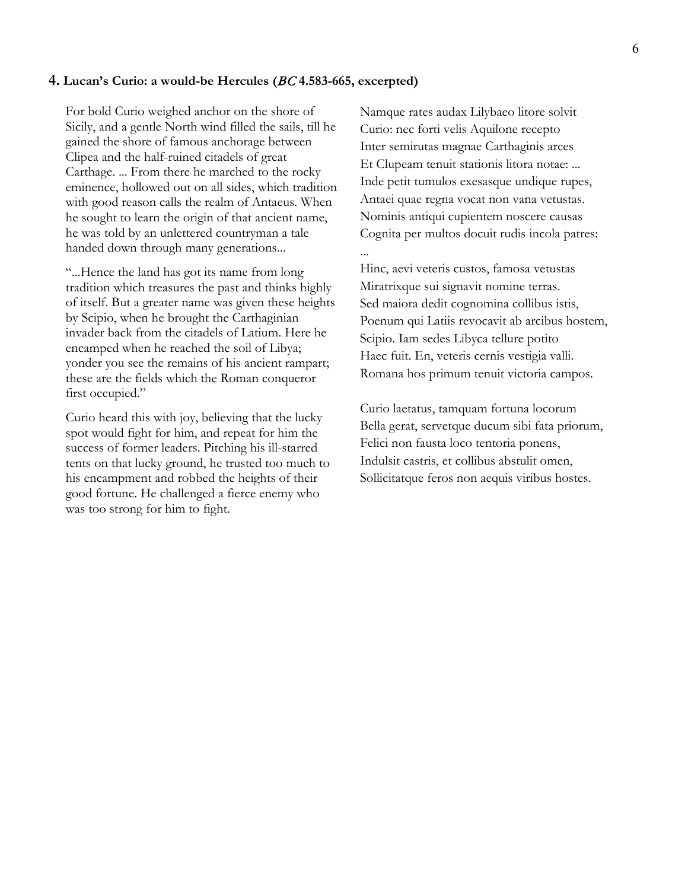## **4. Lucan's Curio: a would-be Hercules (**BC **4.583-665, excerpted)**

For bold Curio weighed anchor on the shore of Sicily, and a gentle North wind filled the sails, till he gained the shore of famous anchorage between Clipea and the half-ruined citadels of great Carthage. ... From there he marched to the rocky eminence, hollowed out on all sides, which tradition with good reason calls the realm of Antaeus. When he sought to learn the origin of that ancient name, he was told by an unlettered countryman a tale handed down through many generations...

"...Hence the land has got its name from long tradition which treasures the past and thinks highly of itself. But a greater name was given these heights by Scipio, when he brought the Carthaginian invader back from the citadels of Latium. Here he encamped when he reached the soil of Libya; yonder you see the remains of his ancient rampart; these are the fields which the Roman conqueror first occupied."

Curio heard this with joy, believing that the lucky spot would fight for him, and repeat for him the success of former leaders. Pitching his ill-starred tents on that lucky ground, he trusted too much to his encampment and robbed the heights of their good fortune. He challenged a fierce enemy who was too strong for him to fight.

Namque rates audax Lilybaeo litore solvit Curio: nec forti velis Aquilone recepto Inter semirutas magnae Carthaginis arces Et Clupeam tenuit stationis litora notae: ... Inde petit tumulos exesasque undique rupes, Antaei quae regna vocat non vana vetustas. Nominis antiqui cupientem noscere causas Cognita per multos docuit rudis incola patres: ...

Hinc, aevi veteris custos, famosa vetustas Miratrixque sui signavit nomine terras. Sed maiora dedit cognomina collibus istis, Poenum qui Latiis revocavit ab arcibus hostem, Scipio. Iam sedes Libyca tellure potito Haec fuit. En, veteris cernis vestigia valli. Romana hos primum tenuit victoria campos.

Curio laetatus, tamquam fortuna locorum Bella gerat, servetque ducum sibi fata priorum, Felici non fausta loco tentoria ponens, Indulsit castris, et collibus abstulit omen, Sollicitatque feros non aequis viribus hostes.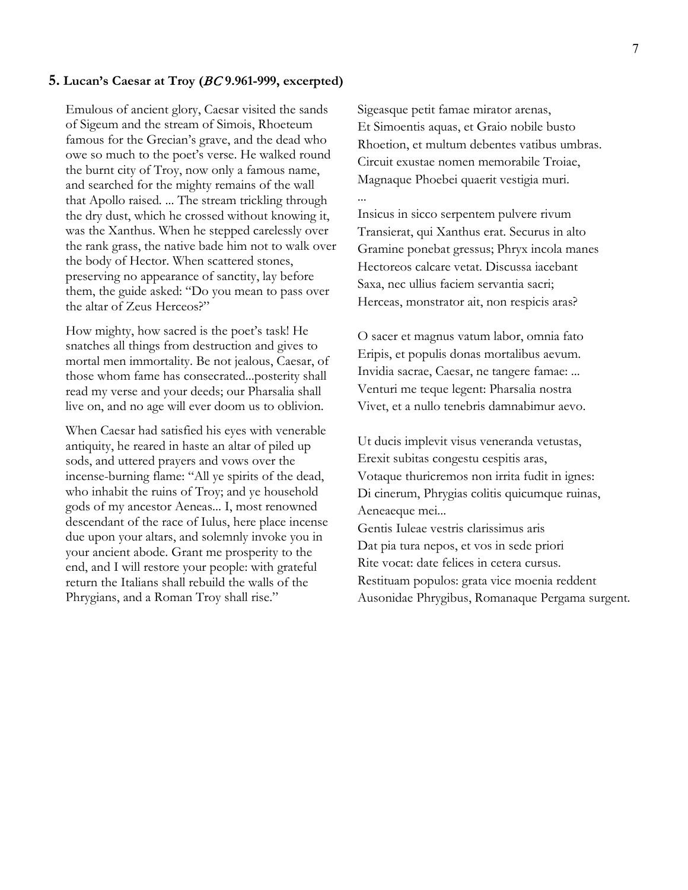## **5. Lucan's Caesar at Troy (**BC **9.961-999, excerpted)**

Emulous of ancient glory, Caesar visited the sands of Sigeum and the stream of Simois, Rhoeteum famous for the Grecian's grave, and the dead who owe so much to the poet's verse. He walked round the burnt city of Troy, now only a famous name, and searched for the mighty remains of the wall that Apollo raised. ... The stream trickling through the dry dust, which he crossed without knowing it, was the Xanthus. When he stepped carelessly over the rank grass, the native bade him not to walk over the body of Hector. When scattered stones, preserving no appearance of sanctity, lay before them, the guide asked: "Do you mean to pass over the altar of Zeus Herceos?"

How mighty, how sacred is the poet's task! He snatches all things from destruction and gives to mortal men immortality. Be not jealous, Caesar, of those whom fame has consecrated...posterity shall read my verse and your deeds; our Pharsalia shall live on, and no age will ever doom us to oblivion.

When Caesar had satisfied his eyes with venerable antiquity, he reared in haste an altar of piled up sods, and uttered prayers and vows over the incense-burning flame: "All ye spirits of the dead, who inhabit the ruins of Troy; and ye household gods of my ancestor Aeneas... I, most renowned descendant of the race of Iulus, here place incense due upon your altars, and solemnly invoke you in your ancient abode. Grant me prosperity to the end, and I will restore your people: with grateful return the Italians shall rebuild the walls of the Phrygians, and a Roman Troy shall rise."

Sigeasque petit famae mirator arenas, Et Simoentis aquas, et Graio nobile busto Rhoetion, et multum debentes vatibus umbras. Circuit exustae nomen memorabile Troiae, Magnaque Phoebei quaerit vestigia muri. ...

Insicus in sicco serpentem pulvere rivum Transierat, qui Xanthus erat. Securus in alto Gramine ponebat gressus; Phryx incola manes Hectoreos calcare vetat. Discussa iacebant Saxa, nec ullius faciem servantia sacri; Herceas, monstrator ait, non respicis aras?

O sacer et magnus vatum labor, omnia fato Eripis, et populis donas mortalibus aevum. Invidia sacrae, Caesar, ne tangere famae: ... Venturi me teque legent: Pharsalia nostra Vivet, et a nullo tenebris damnabimur aevo.

Ut ducis implevit visus veneranda vetustas, Erexit subitas congestu cespitis aras, Votaque thuricremos non irrita fudit in ignes: Di cinerum, Phrygias colitis quicumque ruinas, Aeneaeque mei...

Gentis Iuleae vestris clarissimus aris Dat pia tura nepos, et vos in sede priori Rite vocat: date felices in cetera cursus. Restituam populos: grata vice moenia reddent Ausonidae Phrygibus, Romanaque Pergama surgent.